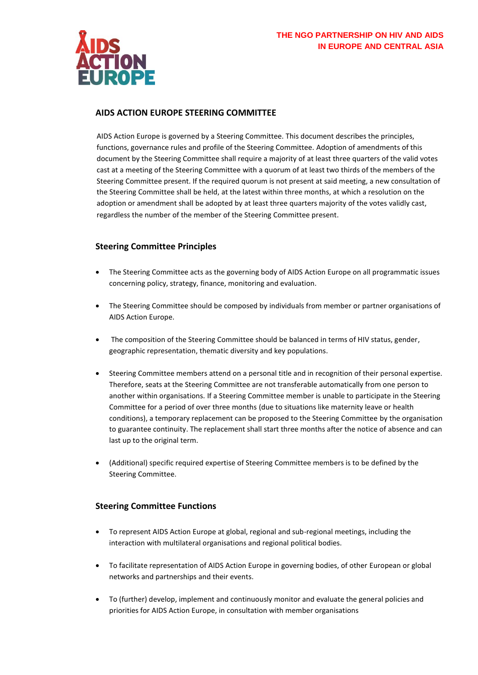

# **AIDS ACTION EUROPE STEERING COMMITTEE**

AIDS Action Europe is governed by a Steering Committee. This document describes the principles, functions, governance rules and profile of the Steering Committee. Adoption of amendments of this document by the Steering Committee shall require a majority of at least three quarters of the valid votes cast at a meeting of the Steering Committee with a quorum of at least two thirds of the members of the Steering Committee present. If the required quorum is not present at said meeting, a new consultation of the Steering Committee shall be held, at the latest within three months, at which a resolution on the adoption or amendment shall be adopted by at least three quarters majority of the votes validly cast, regardless the number of the member of the Steering Committee present.

## **Steering Committee Principles**

- The Steering Committee acts as the governing body of AIDS Action Europe on all programmatic issues concerning policy, strategy, finance, monitoring and evaluation.
- The Steering Committee should be composed by individuals from member or partner organisations of AIDS Action Europe.
- The composition of the Steering Committee should be balanced in terms of HIV status, gender, geographic representation, thematic diversity and key populations.
- Steering Committee members attend on a personal title and in recognition of their personal expertise. Therefore, seats at the Steering Committee are not transferable automatically from one person to another within organisations. If a Steering Committee member is unable to participate in the Steering Committee for a period of over three months (due to situations like maternity leave or health conditions), a temporary replacement can be proposed to the Steering Committee by the organisation to guarantee continuity. The replacement shall start three months after the notice of absence and can last up to the original term.
- (Additional) specific required expertise of Steering Committee members is to be defined by the Steering Committee.

## **Steering Committee Functions**

- To represent AIDS Action Europe at global, regional and sub-regional meetings, including the interaction with multilateral organisations and regional political bodies.
- To facilitate representation of AIDS Action Europe in governing bodies, of other European or global networks and partnerships and their events.
- To (further) develop, implement and continuously monitor and evaluate the general policies and priorities for AIDS Action Europe, in consultation with member organisations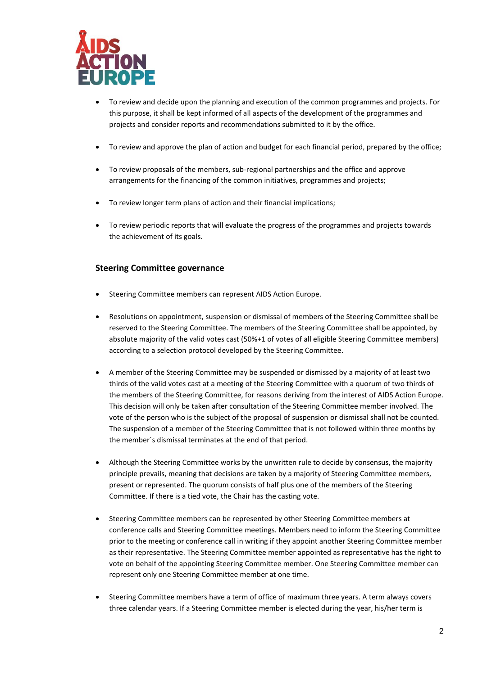

- To review and decide upon the planning and execution of the common programmes and projects. For this purpose, it shall be kept informed of all aspects of the development of the programmes and projects and consider reports and recommendations submitted to it by the office.
- To review and approve the plan of action and budget for each financial period, prepared by the office;
- To review proposals of the members, sub-regional partnerships and the office and approve arrangements for the financing of the common initiatives, programmes and projects;
- To review longer term plans of action and their financial implications;
- To review periodic reports that will evaluate the progress of the programmes and projects towards the achievement of its goals.

# **Steering Committee governance**

- Steering Committee members can represent AIDS Action Europe.
- Resolutions on appointment, suspension or dismissal of members of the Steering Committee shall be reserved to the Steering Committee. The members of the Steering Committee shall be appointed, by absolute majority of the valid votes cast (50%+1 of votes of all eligible Steering Committee members) according to a selection protocol developed by the Steering Committee.
- A member of the Steering Committee may be suspended or dismissed by a majority of at least two thirds of the valid votes cast at a meeting of the Steering Committee with a quorum of two thirds of the members of the Steering Committee, for reasons deriving from the interest of AIDS Action Europe. This decision will only be taken after consultation of the Steering Committee member involved. The vote of the person who is the subject of the proposal of suspension or dismissal shall not be counted. The suspension of a member of the Steering Committee that is not followed within three months by the member´s dismissal terminates at the end of that period.
- Although the Steering Committee works by the unwritten rule to decide by consensus, the majority principle prevails, meaning that decisions are taken by a majority of Steering Committee members, present or represented. The quorum consists of half plus one of the members of the Steering Committee. If there is a tied vote, the Chair has the casting vote.
- Steering Committee members can be represented by other Steering Committee members at conference calls and Steering Committee meetings. Members need to inform the Steering Committee prior to the meeting or conference call in writing if they appoint another Steering Committee member as their representative. The Steering Committee member appointed as representative has the right to vote on behalf of the appointing Steering Committee member. One Steering Committee member can represent only one Steering Committee member at one time.
- Steering Committee members have a term of office of maximum three years. A term always covers three calendar years. If a Steering Committee member is elected during the year, his/her term is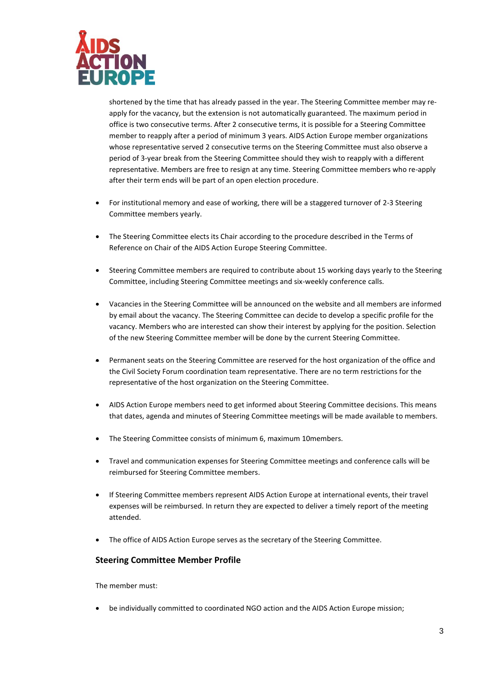

shortened by the time that has already passed in the year. The Steering Committee member may reapply for the vacancy, but the extension is not automatically guaranteed. The maximum period in office is two consecutive terms. After 2 consecutive terms, it is possible for a Steering Committee member to reapply after a period of minimum 3 years. AIDS Action Europe member organizations whose representative served 2 consecutive terms on the Steering Committee must also observe a period of 3-year break from the Steering Committee should they wish to reapply with a different representative. Members are free to resign at any time. Steering Committee members who re-apply after their term ends will be part of an open election procedure.

- For institutional memory and ease of working, there will be a staggered turnover of 2-3 Steering Committee members yearly.
- The Steering Committee elects its Chair according to the procedure described in the Terms of Reference on Chair of the AIDS Action Europe Steering Committee.
- Steering Committee members are required to contribute about 15 working days yearly to the Steering Committee, including Steering Committee meetings and six-weekly conference calls.
- Vacancies in the Steering Committee will be announced on the website and all members are informed by email about the vacancy. The Steering Committee can decide to develop a specific profile for the vacancy. Members who are interested can show their interest by applying for the position. Selection of the new Steering Committee member will be done by the current Steering Committee.
- Permanent seats on the Steering Committee are reserved for the host organization of the office and the Civil Society Forum coordination team representative. There are no term restrictions for the representative of the host organization on the Steering Committee.
- AIDS Action Europe members need to get informed about Steering Committee decisions. This means that dates, agenda and minutes of Steering Committee meetings will be made available to members.
- The Steering Committee consists of minimum 6, maximum 10members.
- Travel and communication expenses for Steering Committee meetings and conference calls will be reimbursed for Steering Committee members.
- If Steering Committee members represent AIDS Action Europe at international events, their travel expenses will be reimbursed. In return they are expected to deliver a timely report of the meeting attended.
- The office of AIDS Action Europe serves as the secretary of the Steering Committee.

## **Steering Committee Member Profile**

The member must:

be individually committed to coordinated NGO action and the AIDS Action Europe mission;